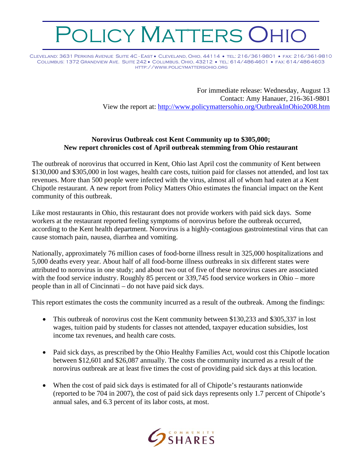## OLICY MATTERS OHIO

Cleveland: 3631 Perkins Avenue Suite 4C - East • Cleveland, Ohio, 44114 • tel: 216/361-9801 • fax: 216/361-9810 Columbus: 1372 Grandview Ave. Suite 242 • Columbus, Ohio, 43212 • tel: 614/486-4601 • fax: 614/486-4603 http://www.policymattersohio.org

> For immediate release: Wednesday, August 13 Contact: Amy Hanauer, 216-361-9801 View the report at:<http://www.policymattersohio.org/OutbreakInOhio2008.htm>

## **Norovirus Outbreak cost Kent Community up to \$305,000; New report chronicles cost of April outbreak stemming from Ohio restaurant**

The outbreak of norovirus that occurred in Kent, Ohio last April cost the community of Kent between \$130,000 and \$305,000 in lost wages, health care costs, tuition paid for classes not attended, and lost tax revenues. More than 500 people were infected with the virus, almost all of whom had eaten at a Kent Chipotle restaurant. A new report from Policy Matters Ohio estimates the financial impact on the Kent community of this outbreak.

Like most restaurants in Ohio, this restaurant does not provide workers with paid sick days. Some workers at the restaurant reported feeling symptoms of norovirus before the outbreak occurred, according to the Kent health department. Norovirus is a highly-contagious gastrointestinal virus that can cause stomach pain, nausea, diarrhea and vomiting.

Nationally, approximately 76 million cases of food-borne illness result in 325,000 hospitalizations and 5,000 deaths every year. About half of all food-borne illness outbreaks in six different states were attributed to norovirus in one study; and about two out of five of these norovirus cases are associated with the food service industry. Roughly 85 percent or 339,745 food service workers in Ohio – more people than in all of Cincinnati – do not have paid sick days.

This report estimates the costs the community incurred as a result of the outbreak. Among the findings:

- This outbreak of norovirus cost the Kent community between \$130,233 and \$305,337 in lost wages, tuition paid by students for classes not attended, taxpayer education subsidies, lost income tax revenues, and health care costs.
- Paid sick days, as prescribed by the Ohio Healthy Families Act, would cost this Chipotle location between \$12,601 and \$26,087 annually. The costs the community incurred as a result of the norovirus outbreak are at least five times the cost of providing paid sick days at this location.
- When the cost of paid sick days is estimated for all of Chipotle's restaurants nationwide (reported to be 704 in 2007), the cost of paid sick days represents only 1.7 percent of Chipotle's annual sales, and 6.3 percent of its labor costs, at most.